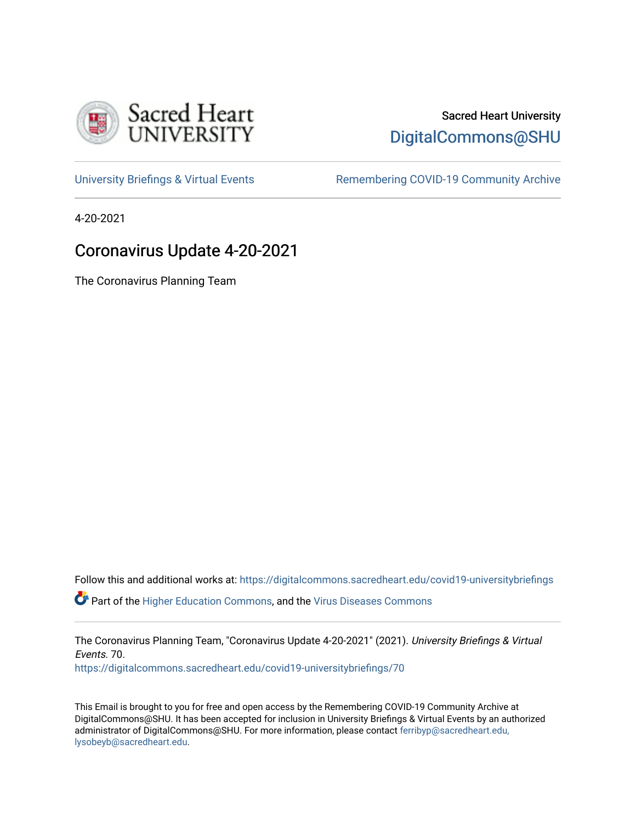

# Sacred Heart University [DigitalCommons@SHU](https://digitalcommons.sacredheart.edu/)

[University Briefings & Virtual Events](https://digitalcommons.sacredheart.edu/covid19-universitybriefings) **Remembering COVID-19 Community Archive** 

4-20-2021

# Coronavirus Update 4-20-2021

The Coronavirus Planning Team

Follow this and additional works at: [https://digitalcommons.sacredheart.edu/covid19-universitybriefings](https://digitalcommons.sacredheart.edu/covid19-universitybriefings?utm_source=digitalcommons.sacredheart.edu%2Fcovid19-universitybriefings%2F70&utm_medium=PDF&utm_campaign=PDFCoverPages)

**C** Part of the [Higher Education Commons,](http://network.bepress.com/hgg/discipline/1245?utm_source=digitalcommons.sacredheart.edu%2Fcovid19-universitybriefings%2F70&utm_medium=PDF&utm_campaign=PDFCoverPages) and the [Virus Diseases Commons](http://network.bepress.com/hgg/discipline/998?utm_source=digitalcommons.sacredheart.edu%2Fcovid19-universitybriefings%2F70&utm_medium=PDF&utm_campaign=PDFCoverPages)

The Coronavirus Planning Team, "Coronavirus Update 4-20-2021" (2021). University Briefings & Virtual Events. 70.

[https://digitalcommons.sacredheart.edu/covid19-universitybriefings/70](https://digitalcommons.sacredheart.edu/covid19-universitybriefings/70?utm_source=digitalcommons.sacredheart.edu%2Fcovid19-universitybriefings%2F70&utm_medium=PDF&utm_campaign=PDFCoverPages) 

This Email is brought to you for free and open access by the Remembering COVID-19 Community Archive at DigitalCommons@SHU. It has been accepted for inclusion in University Briefings & Virtual Events by an authorized administrator of DigitalCommons@SHU. For more information, please contact [ferribyp@sacredheart.edu,](mailto:ferribyp@sacredheart.edu,%20lysobeyb@sacredheart.edu) [lysobeyb@sacredheart.edu](mailto:ferribyp@sacredheart.edu,%20lysobeyb@sacredheart.edu).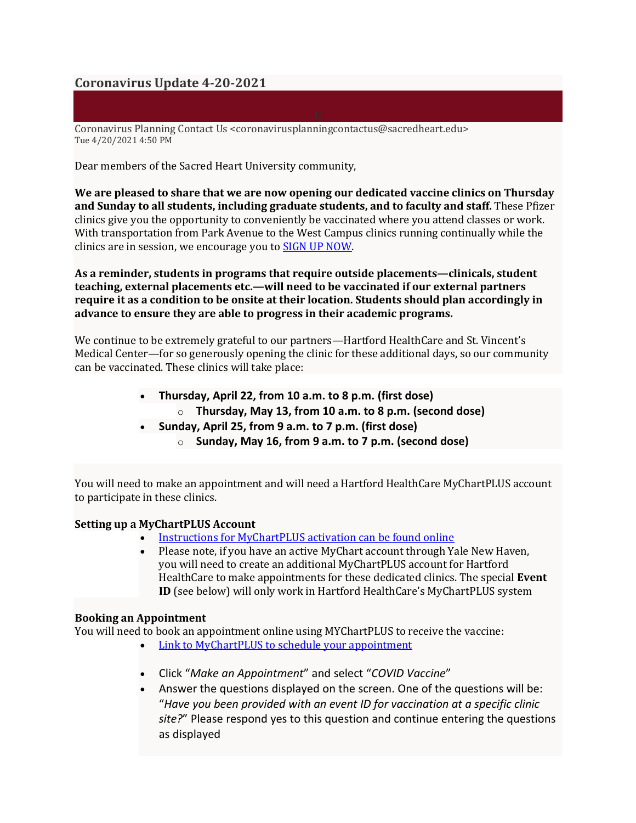## **Coronavirus Update 4-20-2021**

Coronavirus Planning Contact Us <coronavirusplanningcontactus@sacredheart.edu> Tue 4/20/2021 4:50 PM

Dear members of the Sacred Heart University community,

**We are pleased to share that we are now opening our dedicated vaccine clinics on Thursday and Sunday to all students, including graduate students, and to faculty and staff.** These Pfizer clinics give you the opportunity to conveniently be vaccinated where you attend classes or work. With transportation from Park Avenue to the West Campus clinics running continually while the clinics are in session, we encourage you to SIGN UP [NOW.](https://mychartplus.org/mychart/Authentication/Login?)

**As a reminder, students in programs that require outside placements—clinicals, student teaching, external placements etc.—will need to be vaccinated if our external partners require it as a condition to be onsite at their location. Students should plan accordingly in advance to ensure they are able to progress in their academic programs.**

We continue to be extremely grateful to our partners—Hartford HealthCare and St. Vincent's Medical Center—for so generously opening the clinic for these additional days, so our community can be vaccinated. These clinics will take place:

- **Thursday, April 22, from 10 a.m. to 8 p.m. (first dose)** o **Thursday, May 13, from 10 a.m. to 8 p.m. (second dose)**
- **Sunday, April 25, from 9 a.m. to 7 p.m. (first dose)**
	- o **Sunday, May 16, from 9 a.m. to 7 p.m. (second dose)**

You will need to make an appointment and will need a Hartford HealthCare MyChartPLUS account to participate in these clinics.

### **Setting up a MyChartPLUS Account**

- Instructions for [MyChartPLUS](https://hartfordhealthcare.org/file%20library/health%20and%20community/pdfs/mychart-self-signup-and-direct-scheduling-instructions.pdf) activation can be found online
- Please note, if you have an active MyChart account through Yale New Haven, you will need to create an additional MyChartPLUS account for Hartford HealthCare to make appointments for these dedicated clinics. The special **Event ID** (see below) will only work in Hartford HealthCare's MyChartPLUS system

#### **Booking an Appointment**

You will need to book an appointment online using MYChartPLUS to receive the vaccine:

- Link to [MyChartPLUS](https://mychartplus.org/mychart/Authentication/Login?) to schedule your appointment
- Click "*Make an Appointment*" and select "*COVID Vaccine*"
- Answer the questions displayed on the screen. One of the questions will be: "*Have you been provided with an event ID for vaccination at a specific clinic site?*" Please respond yes to this question and continue entering the questions as displayed